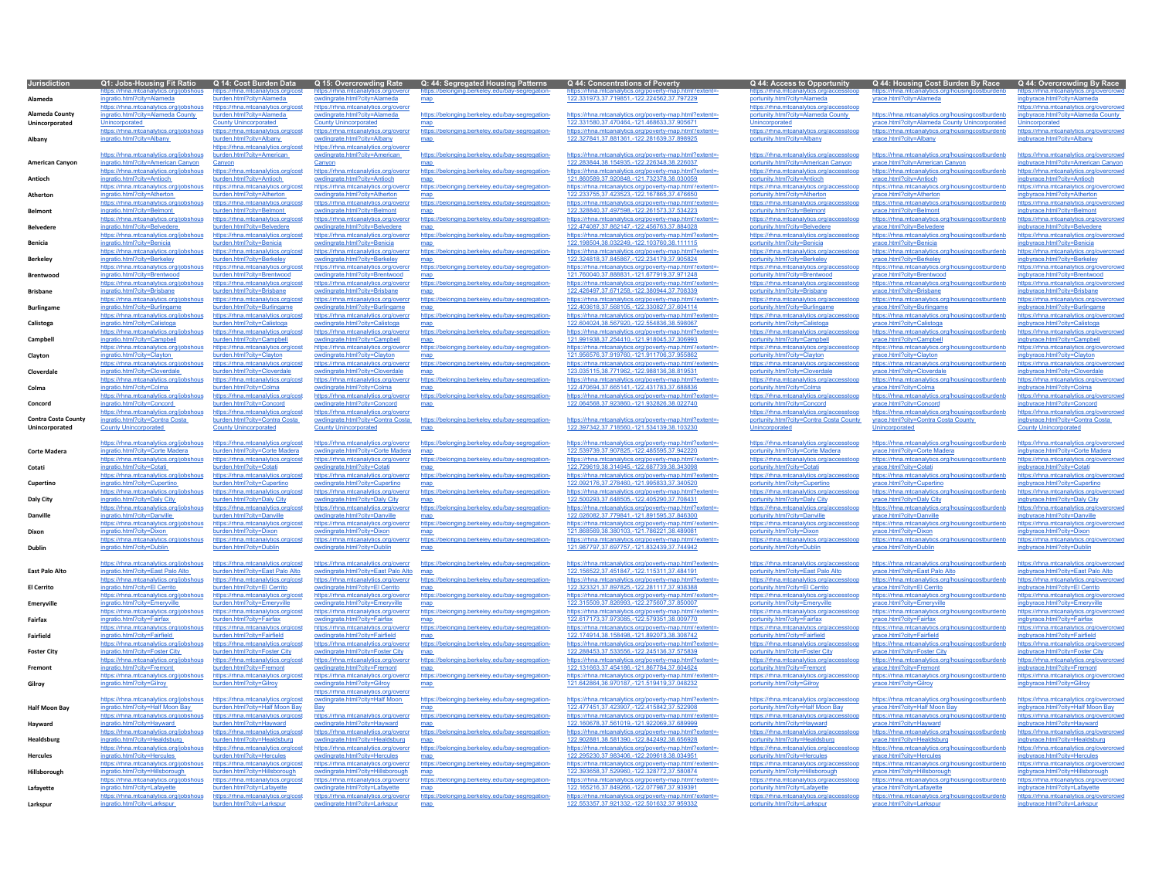| <b>Jurisdiction</b>   |                                                                             |                                                                       |                                                                             | Q1: Jobs-Housing Fit Ratio Q 14: Cost Burden Data Q 15: Overcrowding Rate Q: 44: Segregated Housing Patterns | Q 44: Concentrations of Poverty                                                                       | Q 44: Access to Opportunity                                                    | Q 44: Housing Cost Burden By Race Q 44: Overcrowding By Race                                      |                                                                               |
|-----------------------|-----------------------------------------------------------------------------|-----------------------------------------------------------------------|-----------------------------------------------------------------------------|--------------------------------------------------------------------------------------------------------------|-------------------------------------------------------------------------------------------------------|--------------------------------------------------------------------------------|---------------------------------------------------------------------------------------------------|-------------------------------------------------------------------------------|
| Alameda               | ingratio.html?citv=Alameda                                                  | burden.html?citv=Alameda                                              | owdingrate.html?citv=Alameda                                                | man                                                                                                          | 122 331973 37 719851 -122 224562 37 797229                                                            | portunity.html?citv=Alameda                                                    | vrace.html?citv=Alameda                                                                           | ingbyrace.html?city=Alameda                                                   |
|                       | https://rhna.mtcanalytics.org/jobshous                                      | https://rhna.mtcanalytics.org/cost                                    | https://rhna.mtcanalytics.org/overcr                                        |                                                                                                              |                                                                                                       | https://rhna.mtcanalytics.org/accesstoop                                       |                                                                                                   | https://rhna.mtcanalytics.org/overcrowd                                       |
| Alameda County        | ingratio.html?city=Alameda County                                           | burden.html?citv=Alameda                                              | owdingrate.html?citv=Alameda                                                | https://belonging.berkeley.edu/bay-segregation-                                                              | https://rhna.mtcanalytics.org/poverty-map.html?extent=-                                               | portunity.html?citv=Alameda County                                             | https://rhna.mtcanalytics.org/housingcostburdent                                                  | ingbyrace.html?city=Alameda County                                            |
| Unincorporated        | Unincorporated                                                              | <b>County Unincorporated</b><br>https://rhna.mtcanalytics.org/cost    | <b>County Unincorporated</b>                                                | map                                                                                                          | 122.331580,37.470464,-121.468633,37.905671<br>https://rhna.mtcanalytics.org/poverty-map.html?extent=  | Unincorporated<br>https://rhna.mtcanalytics.org/accesstoop                     | yrace.html?city=Alameda County Unincorporated<br>https://rhna.mtcanalytics.org/housingcostburdenb | Unincorporated                                                                |
| Albany                | https://rhna.mtcanalytics.org/jobshous<br>ingratio.html?city=Albany         | burden.html?city=Albany                                               | https://rhna.mtcanalytics.org/overcr<br>owdingrate.html?city=Albany         | https://belonging.berkeley.edu/bay-segregation-                                                              | 122.327841.37.881361.-122.281639.37.898925                                                            | portunity.html?city=Albany                                                     | yrace.html?city=Albany                                                                            | https://rhna.mtcanalytics.org/overcrowd<br>ingbyrace.html?city=Albany         |
|                       |                                                                             | https://rhna.mtcanalytics.org/cost                                    | https://rhna.mtcanalytics.org/overc                                         |                                                                                                              |                                                                                                       |                                                                                |                                                                                                   |                                                                               |
|                       | https://rhna.mtcanalytics.org/jobshous                                      | burden.html?city=American                                             | owdingrate.html?city=American                                               | https://belonging.berkeley.edu/bay-segregation-                                                              | https://rhna.mtcanalytics.org/poverty-map.html?extent=-                                               | https://rhna.mtcanalytics.org/accesstoop                                       | https://rhna.mtcanalytics.org/housingcostburdenb                                                  | https://rhna.mtcanalytics.org/overcrowd                                       |
| American Canyon       | ingratio.html?citv=American Canvon                                          | Canvon                                                                | Canvon                                                                      |                                                                                                              | 122.283844.38.154935.-122.226348.38.226037                                                            | portunity.html?citv=American Canvon                                            | vrace.html?citv=American Canvon                                                                   | ingbyrace.html?city=American Canyon                                           |
| Antioch               | https://rhna.mtcanalytics.org/jobshous<br>ingratio.html?citv=Antioch        | https://rhna.mtcanalytics.org/cost<br>burden.html?citv=Antioch        | https://rhna.mtcanalytics.org/overcr<br>owdingrate.html?citv=Antioch        | https://belonging.berkeley.edu/bay-segregation                                                               | https://rhna.mtcanalytics.org/poverty-map.html?extent=<br>121.860589.37.920848.-121.732378.38.030059  | https://rhna.mtcanalytics.org/accesstoop<br>portunity.html?citv=Antioch        | https://rhna.mtcanalytics.org/housingcostburdent<br>vrace.html?citv=Antioch                       | https://rhna.mtcanalytics.org/overcrowd<br>ingbyrace.html?city=Antioch        |
|                       | https://rhna.mtcanalytics.org/jobshous                                      | https://rhna.mtcanalytics.org/cost                                    | https://rhna.mtcanalytics.org/overcr                                        | https://belonging.berkeley.edu/bay-segregation-                                                              | https://rhna.mtcanalytics.org/poverty-map.html?extent=-                                               | https://rhna.mtcanalytics.org/accesstoop                                       | https://rhna.mtcanalytics.org/housingcostburdenb                                                  | https://rhna.mtcanalytics.org/overcrowd                                       |
| <b>Atherton</b>       | ingratio html?city=Atherton                                                 | burden html?city=Atherton                                             | owdingrate html?city=Atherton                                               |                                                                                                              | 122 233755 37 423523 -122 167865 37 476650                                                            | nortunity html?city=Atherton                                                   | vrace html?city=Atherton                                                                          | ingbyrace.html?city=Atherton                                                  |
| Belmont               | https://rhna.mtcanalytics.org/jobshous<br>ingratio.html?citv=Belmont        | https://rhna.mtcanalytics.org/cost<br>burden.html?citv=Belmont        | https://rhna.mtcanalytics.org/overcr<br>owdingrate.html?citv=Belmont        | https://belonging.berkeley.edu/bay-segregation-                                                              | https://rhna.mtcanalytics.org/poverty-map.html?extent=<br>122.328840.37.497598.-122.261573.37.534223  | https://rhna.mtcanalytics.org/accesstoop<br>portunity.html?city=Belmont        | https://rhna.mtcanalytics.org/housingcostburdenb<br>vrace.html?citv=Belmont                       | https://rhna.mtcanalytics.org/overcrowd<br>ingbyrace.html?city=Belmont        |
|                       | https://rhna.mtcanalytics.org/iobshous                                      | https://rhna.mtcanalytics.org/cost                                    | https://rhna.mtcanalytics.org/overcr                                        | https://belonging.berkeley.edu/bay-segregation-                                                              | https://rhna.mtcanalytics.org/poverty-map.html?extent=-                                               | https://rhna.mtcanalytics.org/accesstoop                                       | https://rhna.mtcanalytics.org/housingcostburdenb                                                  | https://rhna.mtcanalytics.org/overcrowd                                       |
| <b>Belvedere</b>      | ingratio.html?city=Belvedere                                                | burden.html?city=Belvedere                                            | owdingrate.html?city=Belvedere                                              |                                                                                                              | 122 474087 37 862147 -122 456763 37 884028                                                            | portunity.html?city=Belvedere                                                  | yrace.html?city=Belvedere                                                                         | ingbyrace.html?city=Belvedere                                                 |
|                       | https://rhna.mtcanalytics.org/jobshous                                      | https://rhna.mtcanalytics.org/cost                                    | https://rhna.mtcanalytics.org/overcr                                        | https://belonging.berkeley.edu/bay-segregation-                                                              | https://rhna.mtcanalytics.org/poverty-map.html?extent=-                                               | https://rhna.mtcanalytics.org/accesstoop                                       | https://rhna.mtcanalytics.org/housingcostburdenb                                                  | https://rhna.mtcanalytics.org/overcrowd                                       |
| Benicia               | ingratio.html?city=Benicia<br>https://rhna.mtcanalytics.org/jobshous        | urden.html?city=Benicia<br>https://rhna.mtcanalytics.org/cost         | owdingrate.html?city=Benicia<br>https://rhna.mtcanalytics.org/overcr        | https://belonging.berkeley.edu/bay-segregation-                                                              | 122.198504,38.032249,-122.103760,38.111115<br>https://rhna.mtcanalytics.org/poverty-map.html?extent=- | portunity.html?city=Benicia<br>https://rhna.mtcanalytics.org/accesstoop        | yrace.html?city=Benicia<br>https://rhna.mtcanalytics.org/housingcostburdenb                       | ingbyrace.html?city=Benicia<br>https://rhna.mtcanalytics.org/overcrowd        |
| <b>Berkele</b>        | ingratio.html?city=Berkeley                                                 | urden.html?city=Berkeley                                              | owdingrate.html?city=Berkeley                                               |                                                                                                              | 122.324818,37.845867,-122.234179,37.905824                                                            | portunity.html?city=Berkeley                                                   | yrace.html?city=Berkeley                                                                          | ingbyrace.html?city=Berkeley                                                  |
|                       | https://rhna.mtcanalytics.org/jobshous                                      | https://rhna.mtcanalytics.org/cost                                    | https://rhna.mtcanalytics.org/overcr                                        | https://belonging.berkeley.edu/bay-segregation-                                                              | https://rhna.mtcanalytics.org/poverty-map.html?extent=-                                               | https://rhna.mtcanalytics.org/accesstoop                                       | https://rhna.mtcanalytics.org/housingcostburdenb                                                  | https://rhna.mtcanalytics.org/overcrowd                                       |
| <b>Brentwood</b>      | ingratio.html?city=Brentwood                                                | burden.html?city=Brentwood<br>https://rhna.mtcanalytics.org/cost      | owdingrate.html?city=Brentwood<br>https://rhna.mtcanalytics.org/overcr      | man                                                                                                          | 121.760040,37.888831,-121.677919,37.971248                                                            | portunity.html?city=Brentwood                                                  | yrace.html?city=Brentwood<br>https://rhna.mtcanalytics.org/housingcostburdenb                     | ingbyrace.html?city=Brentwood                                                 |
| <b>Brisbane</b>       | https://rhna.mtcanalytics.org/jobshous<br>ingratio.html?city=Brisbane       | urden.html?city=Brisbane                                              | owdingrate.html?city=Brisbane                                               | https://belonging.berkeley.edu/bay-segregation-                                                              | https://rhna.mtcanalytics.org/poverty-map.html?extent=-<br>122.426497,37.671258,-122.380944,37.708339 | https://rhna.mtcanalytics.org/accesstoop<br>portunity.html?city=Brisbane       | yrace.html?city=Brisbane                                                                          | https://rhna.mtcanalytics.org/overcrowd<br>ingbyrace.html?city=Brisbane       |
|                       | https://rhna.mtcanalytics.org/jobshous                                      | https://rhna.mtcanalytics.org/cost                                    | https://rhna.mtcanalytics.org/overcr                                        | https://belonging.berkelev.edu/bay-segregation-                                                              | https://rhna.mtcanalytics.org/poverty-map.html?extent=                                                | https://rhna.mtcanalytics.org/accesstoop                                       | https://rhna.mtcanalytics.org/housingcostburdent                                                  | https://rhna.mtcanalytics.org/overcrowd                                       |
| <b>Burlingame</b>     | ingratio.html?city=Burlingame                                               | burden.html?citv=Burlingame                                           | owdingrate.html?citv=Burlingame                                             | man                                                                                                          | 122.403618.37.568105.-122.330827.37.604114                                                            | portunity.html?citv=Burlingame                                                 | vrace.html?citv=Burlingame                                                                        | ingbyrace.html?city=Burlingame                                                |
| Calistoga             | https://rhna.mtcanalytics.org/jobshous<br>ingratio.html?city=Calistoga      | https://rhna.mtcanalytics.org/cost<br>burden.html?city=Calistoga      | https://rhna.mtcanalytics.org/overcr<br>owdingrate.html?city=Calistoga      | https://belonging.berkeley.edu/bay-segregation-                                                              | https://rhna.mtcanalytics.org/poverty-map.html?extent=<br>122.604024,38.567920,-122.554836,38.598067  | https://rhna.mtcanalytics.org/accesstoop<br>portunity.html?city=Calistoga      | https://rhna.mtcanalytics.org/housingcostburdenb<br>yrace.html?city=Calistoga                     | https://rhna.mtcanalytics.org/overcrowd<br>ingbyrace.html?city=Calistoga      |
|                       | https://rhna.mtcanalytics.org/iobshous                                      | https://rhna.mtcanalytics.org/cost                                    | https://rhna.mtcanalytics.org/overcr                                        | https://belonging.berkelev.edu/bay-segregation-                                                              | https://rhna.mtcanalytics.org/poverty-map.html?extent=                                                | https://rhna.mtcanalytics.org/accesstoop                                       | https://rhna.mtcanalytics.org/housingcostburdenb                                                  | https://rhna.mtcanalytics.org/overcrowd                                       |
| Campbel               | ingratio.html?city=Campbell                                                 | burden.html?city=Campbell                                             | owdingrate.html?city=Campbell                                               |                                                                                                              | 121.991938.37.254410.-121.918045.37.306993                                                            | portunity.html?city=Campbell                                                   | yrace.html?city=Campbell                                                                          | ingbyrace.html?city=Campbell                                                  |
|                       | https://rhna.mtcanalytics.org/jobshous                                      | https://rhna.mtcanalytics.org/cost                                    | https://rhna.mtcanalytics.org/overcr                                        | https://belonging.berkeley.edu/bay-segregation-                                                              | https://rhna.mtcanalytics.org/poverty-map.html?extent=-                                               | https://rhna.mtcanalytics.org/accesstoop                                       | https://rhna.mtcanalytics.org/housingcostburdenb                                                  | https://rhna.mtcanalytics.org/overcrowd                                       |
| Clayton               | ingratio.html?city=Clayton<br>https://rhna.mtcanalytics.org/jobshous        | burden.html?city=Clayton<br>https://rhna.mtcanalytics.org/cost        | owdingrate.html?city=Clayton<br>https://rhna.mtcanalytics.org/overcr        | https://belonging.berkeley.edu/bay-segregation-                                                              | 121.956576,37.919760,-121.911706,37.955862<br>https://rhna.mtcanalytics.org/poverty-map.html?extent=- | portunity.html?city=Clayton<br>https://rhna.mtcanalytics.org/accesstoop        | yrace.html?city=Clayton<br>https://rhna.mtcanalytics.org/housingcostburdenb                       | ingbyrace.html?city=Clayton<br>https://rhna.mtcanalytics.org/overcrowd        |
| Cloverdale            | ingratio.html?city=Cloverdale                                               | burden.html?city=Cloverdale                                           | owdingrate.html?city=Cloverdale                                             |                                                                                                              | 123.035115,38.771962,-122.988136,38.819531                                                            | portunity.html?city=Cloverdale                                                 | yrace.html?city=Cloverdale                                                                        | ingbyrace.html?city=Cloverdale                                                |
|                       | https://rhna.mtcanalytics.org/jobshous                                      | https://rhna.mtcanalytics.org/cost                                    | https://rhna.mtcanalvtics.org/overcr                                        | https://belonging.berkeley.edu/bay-segregation-                                                              | https://rhna.mtcanalytics.org/poverty-map.html?extent=                                                | https://rhna.mtcanalytics.org/accesstoop                                       | https://rhna.mtcanalytics.org/housingcostburdenb                                                  | https://rhna.mtcanalytics.org/overcrowd                                       |
| Colma                 | ingratio.html?city=Colma<br>https://rhna.mtcanalytics.org/jobshous          | burden.html?city=Colma<br>https://rhna.mtcanalytics.org/cost          | owdingrate.html?city=Colma<br>https://rhna.mtcanalytics.org/overcr          | map                                                                                                          | 122.470694,37.665141,-122.431783,37.688836                                                            | portunity.html?city=Colma                                                      | yrace.html?city=Colma<br>https://rhna.mtcanalytics.org/housingcostburdenb                         | ingbyrace.html?city=Colma                                                     |
| Concord               | ingratio.html?city=Concord                                                  | burden.html?city=Concord                                              | owdingrate.html?city=Concord                                                | https://belonging.berkeley.edu/bay-segregation-                                                              | https://rhna.mtcanalytics.org/poverty-map.html?extent=-<br>122.064568,37.923860,-121.932826,38.022740 | https://rhna.mtcanalytics.org/accesstoop<br>portunity.html?city=Concord        | yrace.html?city=Concord                                                                           | https://rhna.mtcanalytics.org/overcrowd<br>ingbyrace.html?city=Concord        |
|                       | https://rhna.mtcanalytics.org/jobshous                                      | https://rhna.mtcanalytics.org/cost                                    | https://rhna.mtcanalytics.org/overc                                         |                                                                                                              |                                                                                                       | https://rhna.mtcanalytics.org/accesstoop                                       | https://rhna.mtcanalytics.org/housingcostburdenb                                                  | https://rhna.mtcanalytics.org/overcrowd                                       |
| Contra Costa County   | ingratio.html?citv=Contra Costa                                             | burden.html?citv=Contra Costa                                         | owdingrate.html?citv=Contra Costa                                           | https://belonging.berkeley.edu/bay-segregation-                                                              | https://rhna.mtcanalytics.org/poverty-map.html?extent=-<br>122 397342 37 718560 -121 534139 38 103230 | portunity.html?citv=Contra Costa County                                        | vrace.html?citv=Contra Costa County                                                               | ingbyrace.html?city=Contra Costa                                              |
| Unincorporated        | County Unincorporated                                                       | County Unincorporated                                                 | County Unincorporated                                                       | map                                                                                                          |                                                                                                       | Unincorporated                                                                 | Unincorporated                                                                                    | <b>County Unincorporated</b>                                                  |
|                       | https://rhna.mtcanalytics.org/jobshous                                      | https://rhna.mtcanalytics.org/cost                                    | https://rhna.mtcanalvtics.org/overcr                                        | https://belonging.berkeley.edu/bay-segregation-                                                              | https://rhna.mtcanalytics.org/poverty-map.html?extent=-                                               | https://rhna.mtcanalytics.org/accesstoop                                       | https://rhna.mtcanalytics.org/housingcostburdenb                                                  | https://rhna.mtcanalytics.org/overcrowd                                       |
| Corte Madera          | ingratio.html?city=Corte Madera                                             | burden.html?city=Corte Madera                                         | owdingrate.html?city=Corte Madera                                           | map                                                                                                          | 122.539739,37.907825,-122.485595,37.942220                                                            | portunity.html?city=Corte Madera                                               | yrace.html?city=Corte Madera                                                                      | ingbyrace.html?city=Corte Madera                                              |
| Cotati                | https://rhna.mtcanalytics.org/iobshous<br>ingratio.html?city=Cotati         | https://rhna.mtcanalytics.org/cost<br>burden.html?city=Cotati         | https://rhna.mtcanalytics.org/overcr<br>owdingrate.html?city=Cotat          | https://belonging.berkeley.edu/bay-segregation-                                                              | https://rhna.mtcanalytics.org/poverty-map.html?extent=-<br>122.729619,38.314945,-122.687739,38.343098 | https://rhna.mtcanalytics.org/accesstoop<br>portunity.html?city=Cotat          | https://rhna.mtcanalytics.org/housingcostburdenb<br>yrace.html?city=Cotati                        | https://rhna.mtcanalytics.org/overcrowd<br>ingbyrace.html?city=Cotati         |
|                       | https://rhna.mtcanalytics.org/jobshous                                      | https://rhna.mtcanalytics.org/cos                                     | https://rhna.mtcanalytics.org/overcr                                        | https://belonging.berkeley.edu/bay-segregation-                                                              | https://rhna.mtcanalytics.org/poverty-map.html?extent=                                                | https://rhna.mtcanalytics.org/accesstoop                                       | https://rhna.mtcanalytics.org/housingcostburdent                                                  | https://rhna.mtcanalytics.org/overcrowd                                       |
| Cupertino             | ingratio.html?city=Cupertino                                                | burden.html?citv=Cupertino                                            | owdingrate.html?citv=Cupertino                                              |                                                                                                              | 122.092176.37.278460.-121.995833.37.340520                                                            | portunity.html?city=Cuperting                                                  | vrace.html?citv=Cupertino                                                                         | ingbyrace.html?city=Cupertino                                                 |
|                       | https://rhna.mtcanalytics.org/jobshous                                      | https://rhna.mtcanalytics.org/cost                                    | https://rhna.mtcanalytics.org/overcr                                        | https://belonging.berkeley.edu/bay-segregation-                                                              | https://rhna.mtcanalytics.org/poverty-map.html?extent=-                                               | https://rhna.mtcanalytics.org/accesstoop                                       | https://rhna.mtcanalytics.org/housingcostburdenb                                                  | https://rhna.mtcanalytics.org/overcrowd                                       |
| Daly City             | ingratio.html?city=Daly City<br>https://rhna.mtcanalytics.org/jobshous      | burden.html?city=Daly City<br>https://rhna.mtcanalytics.org/cost      | owdingrate.html?city=Daly City<br>https://rhna.mtcanalytics.org/overcr      | https://belonging.berkeley.edu/bay-segregation-                                                              | 122.500293.37.648505.-122.405290.37.708431<br>https://rhna.mtcanalytics.org/poverty-map.html?extent=  | portunity.html?city=Daly City<br>https://rhna.mtcanalytics.org/accesstoop      | yrace.html?city=Daly City<br>https://rhna.mtcanalytics.org/housingcostburdenb                     | ingbyrace.html?city=Daly City<br>https://rhna.mtcanalytics.org/overcrowd      |
| Danville              | ingratio.html?city=Danville                                                 | burden.html?citv=Danville                                             | owdingrate.html?city=Danville                                               | man                                                                                                          | 122.026082.37.779841.-121.891595.37.846300                                                            | portunity.html?city=Danville                                                   | vrace.html?citv=Danville                                                                          | ingbyrace.html?city=Danville                                                  |
|                       | https://rhna.mtcanalytics.org/jobshous                                      | https://rhna.mtcanalytics.org/cost                                    | https://rhna.mtcanalytics.org/overcr                                        | https://belonging.berkeley.edu/bay-segregation-                                                              | https://rhna.mtcanalytics.org/poverty-map.html?extent=                                                | https://rhna.mtcanalytics.org/accesstoop                                       | https://rhna.mtcanalytics.org/housingcostburdent                                                  | https://rhna.mtcanalytics.org/overcrowd                                       |
| Dixon                 | ingratio.html?citv=Dixon                                                    | burden.html?citv=Dixon                                                | owdingrate.html?citv=Dixon                                                  |                                                                                                              | 121.868569,38.380103,-121.786221,38.489081                                                            | portunity.html?city=Dixon                                                      | vrace.html?citv=Dixon                                                                             | ingbyrace.html?city=Dixon                                                     |
| Dublin                | https://rhna.mtcanalytics.org/jobshous<br>ingratio.html?city=Dublin         | https://rhna.mtcanalytics.org/cost<br>burden.html?citv=Dublin         | https://rhna.mtcanalytics.org/overcr<br>owdingrate.html?citv=Dublir         | https://belonging.berkeley.edu/bay-segregation-<br>map                                                       | https://rhna.mtcanalytics.org/poverty-map.html?extent=-<br>121 987797 37 697757 -121 832439 37 744942 | https://rhna.mtcanalytics.org/accesstoop<br>portunity.html?citv=Dublin         | https://rhna.mtcanalytics.org/housingcostburdenb<br>vrace.html?citv=Dublin                        | https://rhna.mtcanalytics.org/overcrowd<br>ingbyrace.html?city=Dublin         |
|                       |                                                                             |                                                                       |                                                                             |                                                                                                              |                                                                                                       |                                                                                |                                                                                                   |                                                                               |
|                       | https://rhna.mtcanalytics.org/jobshous                                      | https://rhna.mtcanalytics.org/cost                                    | https://rhna.mtcanalytics.org/overcr                                        | https://belonging.berkeley.edu/bay-segregation-                                                              | https://rhna.mtcanalytics.org/poverty-map.html?extent=-                                               | https://rhna.mtcanalytics.org/accesstoop                                       | https://rhna.mtcanalytics.org/housingcostburdenb                                                  | https://rhna.mtcanalytics.org/overcrowd                                       |
| <b>East Palo Alto</b> | ingratio.html?city=East Palo Alto<br>https://rhna.mtcanalytics.org/jobshous | burden.html?city=East Palo Alto<br>https://rhna.mtcanalytics.org/cost | owdingrate.html?city=East Palo Alto<br>https://rhna.mtcanalytics.org/overcr | map<br>https://belonging.berkeley.edu/bay-segregation-                                                       | 122.156522,37.451847,-122.115311,37.484191<br>https://rhna.mtcanalytics.org/poverty-map.html?extent=- | portunity.html?city=East Palo Alto<br>https://rhna.mtcanalytics.org/accesstoop | yrace.html?city=East Palo Alto<br>https://rhna.mtcanalytics.org/housingcostburdent                | ingbyrace.html?city=East Palo Alto<br>https://rhna.mtcanalytics.org/overcrowd |
| El Cerrito            | ingratio.html?city=El Cerrito                                               | burden.html?city=El Cerrito                                           | owdingrate.html?city=El Cerrito                                             |                                                                                                              | 122.323321,37.897825,-122.281117,37.938388                                                            | portunity.html?city=El Cerrito                                                 | yrace.html?city=El Cerrito                                                                        | ingbyrace.html?city=El Cerrito                                                |
|                       | https://rhna.mtcanalytics.org/iobshous                                      | https://rhna.mtcanalytics.org/cost                                    | https://rhna.mtcanalytics.org/overcr                                        | https://belonging.berkelev.edu/bay-segregation-                                                              | https://rhna.mtcanalytics.org/poverty-map.html?extent=                                                | https://rhna.mtcanalytics.org/accesstoop                                       | https://rhna.mtcanalytics.org/housingcostburdenb                                                  | https://rhna.mtcanalytics.org/overcrowd                                       |
| Emeryville            | ingratio.html?city=Emeryville<br>https://rhna.mtcanalytics.org/jobshous     | burden.html?city=Emeryville<br>https://rhna.mtcanalytics.org/cost     | owdingrate.html?city=Emeryville<br>https://rhna.mtcanalytics.org/overcr     | map                                                                                                          | 122.315509.37.826993.-122.275607.37.850007<br>https://rhna.mtcanalytics.org/poverty-map.html?extent=  | portunity.html?city=Emeryville<br>https://rhna.mtcanalytics.org/accesstoop     | yrace.html?city=Emeryville<br>https://rhna.mtcanalytics.org/housingcostburdent                    | ingbyrace.html?city=Emeryville<br>https://rhna.mtcanalytics.org/overcrowd     |
| Fairfax               | ingratio.html?city=Fairfax                                                  | burden.html?city=Fairfax                                              | owdingrate.html?city=Fairfax                                                | https://belonging.berkeley.edu/bay-segregation-                                                              | 122.617173,37.973085,-122.579351,38.009770                                                            | portunity.html?city=Fairfax                                                    | yrace.html?city=Fairfax                                                                           | ingbyrace.html?city=Fairfax                                                   |
|                       | https://rhna.mtcanalytics.org/jobshous                                      | https://rhna.mtcanalytics.org/cost                                    | https://rhna.mtcanalytics.org/overcr                                        | https://belonging.berkelev.edu/bay-segregation-                                                              | https://rhna.mtcanalytics.org/poverty-map.html?extent=                                                | https://rhna.mtcanalytics.org/accesstoop                                       | https://rhna.mtcanalytics.org/housingcostburdenb                                                  | https://rhna.mtcanalytics.org/overcrowd                                       |
| Fairfield             | ingratio.html?citv=Fairfield                                                | burden.html?city=Fairfield                                            | owdingrate.html?citv=Fairfield                                              |                                                                                                              | 122.174914.38.158498.-121.892073.38.308742                                                            | portunity.html?city=Fairfield                                                  | vrace.html?citv=Fairfield                                                                         | ingbyrace.html?city=Fairfield                                                 |
| <b>Foster City</b>    | https://rhna.mtcanalytics.org/iobshous<br>ingratio.html?city=Foster City    | https://rhna.mtcanalytics.org/cost<br>burden.html?city=Foster City    | https://rhna.mtcanalytics.org/overcr<br>owdingrate.html?city=Foster City    | https://belonging.berkeley.edu/bay-segregation-<br>map                                                       | https://rhna.mtcanalytics.org/poverty-map.html?extent=<br>122.288453,37.533556,-122.245136,37.575839  | https://rhna.mtcanalytics.org/accesstoop<br>portunity.html?city=Foster City    | https://rhna.mtcanalytics.org/housingcostburdenb<br>yrace.html?city=Foster City                   | https://rhna.mtcanalytics.org/overcrowd<br>ingbyrace.html?city=Foster City    |
|                       | https://rhna.mtcanalytics.org/iobshous                                      | https://rhna.mtcanalytics.org/cost                                    | https://rhna.mtcanalytics.org/overcr                                        | https://belonging.berkelev.edu/bay-segregation-                                                              | https://rhna.mtcanalytics.org/poverty-map.html?extent=-                                               | https://rhna.mtcanalytics.org/accesstoop                                       | https://rhna.mtcanalytics.org/housingcostburdenb                                                  | https://rhna.mtcanalytics.org/overcrowd                                       |
| Fremont               | ingratio.html?city=Fremont                                                  | burden.html?city=Fremont                                              | owdingrate.html?city=Fremont                                                |                                                                                                              | 122.131663,37.454186,-121.867784,37.604624                                                            | portunity.html?city=Fremont                                                    | yrace.html?city=Fremont                                                                           | ingbyrace.html?city=Fremont                                                   |
| Gilrov                | https://rhna.mtcanalytics.org/jobshous<br>ingratio.html?citv=Gilrov         | https://rhna.mtcanalytics.org/cost<br>burden.html?citv=Gilrov         | https://rhna.mtcanalytics.org/overcr<br>owdingrate.html?city=Gilroy         | https://belonging.berkeley.edu/bay-segregation-                                                              | https://rhna.mtcanalytics.org/poverty-map.html?extent=-<br>121.642864.36.970187.-121.519419.37.048232 | https://rhna.mtcanalytics.org/accesstoop<br>portunity.html?city=Gilroy         | https://rhna.mtcanalytics.org/housingcostburdenb<br>vrace.html?citv=Gilrov                        | https://rhna.mtcanalytics.org/overcrowd<br>ingbyrace.html?city=Gilroy         |
|                       |                                                                             |                                                                       | https://rhna.mtcanalytics.org/overc                                         | map                                                                                                          |                                                                                                       |                                                                                |                                                                                                   |                                                                               |
|                       | https://rhna.mtcanalytics.org/jobshous                                      | https://rhna.mtcanalytics.org/cost                                    | owdingrate.html?city=Half Moon                                              | https://belonging.berkeley.edu/bay-segregation-                                                              | https://rhna.mtcanalytics.org/poverty-map.html?extent=                                                | https://rhna.mtcanalytics.org/accesstoop                                       | https://rhna.mtcanalytics.org/housingcostburdenb                                                  | https://rhna.mtcanalytics.org/overcrowd                                       |
| Half Moon Bay         | ingratio.html?city=Half Moon Bay                                            | burden.html?city=Half Moon Bay                                        | Bay                                                                         |                                                                                                              | 122.477451,37.423907,-122.415842,37.522908                                                            | portunity.html?city=Half Moon Bay                                              | yrace.html?city=Half Moon Bay                                                                     | ingbyrace.html?city=Half Moon Bay                                             |
| Hayward               | https://rhna.mtcanalytics.org/jobshous<br>ingratio.html?city=Hayward        | https://rhna.mtcanalytics.org/cost<br>burden.html?city=Hayward        | https://rhna.mtcanalytics.org/overcr<br>owdingrate.html?city=Hayward        | https://belonging.berkeley.edu/bay-segregation-<br>man                                                       | https://rhna.mtcanalytics.org/poverty-map.html?extent=-<br>122 160678 37 561019 -121 922069 37 689999 | https://rhna.mtcanalytics.org/accesstoop<br>nortunity html?city=Hayward        | https://rhna.mtcanalytics.org/housingcostburdenb<br>vrace html?city=Havward                       | https://rhna.mtcanalytics.org/overcrowd<br>ingbyrace.html?city=Hayward        |
|                       | https://rhna.mtcanalytics.org/jobshous                                      | https://rhna.mtcanalytics.org/cost                                    | https://rhna.mtcanalytics.org/overcr                                        | https://belonging.berkeley.edu/bay-segregation-                                                              | https://rhna.mtcanalytics.org/poverty-map.html?extent=                                                | https://rhna.mtcanalytics.org/accesstoop                                       | https://rhna.mtcanalytics.org/housingcostburdent                                                  | https://rhna.mtcanalytics.org/overcrowd                                       |
| Healdsburg            | ingratio.html?city=Healdsburg                                               | burden.html?city=Healdsburg                                           | owdingrate.html?city=Healdsburg                                             |                                                                                                              | 122.902881,38.581390,-122.842492,38.656928                                                            | portunity.html?city=Healdsburg                                                 | yrace.html?city=Healdsburg                                                                        | ingbyrace.html?city=Healdsburg                                                |
|                       | https://rhna.mtcanalytics.org/iobshous                                      | https://rhna.mtcanalytics.org/cost                                    | https://rhna.mtcanalytics.org/overcr                                        | https://belonging.berkeley.edu/bay-segregation-                                                              | https://rhna.mtcanalytics.org/poverty-map.html?extent=-                                               | https://rhna.mtcanalytics.org/accesstoop                                       | https://rhna.mtcanalytics.org/housingcostburdenb                                                  | https://rhna.mtcanalytics.org/overcrowd                                       |
| <b>Hercules</b>       | ingratio.html?city=Hercules<br>https://rhna.mtcanalytics.org/jobshous       | burden.html?city=Hercules<br>https://rhna.mtcanalytics.org/cost       | owdingrate.html?city=Hercules<br>https://rhna.mtcanalytics.org/overcr       | https://belonging.berkeley.edu/bay-segregation-                                                              | 122.295230,37.983406,-122.209618,38.034951<br>https://rhna.mtcanalytics.org/poverty-map.html?extent=- | portunity.html?city=Hercules<br>https://rhna.mtcanalytics.org/accesstoop       | yrace.html?city=Hercules<br>https://rhna.mtcanalytics.org/housingcostburdenb                      | ingbyrace.html?city=Hercules<br>https://rhna.mtcanalytics.org/overcrowd       |
| <b>Hillsborough</b>   | ingratio.html?city=Hillsborough                                             | urden.html?city=Hillsborough                                          | owdingrate.html?city=Hillsborough                                           |                                                                                                              | 122.393658.37.529960.-122.328772.37.580874                                                            | portunity.html?city=Hillsborough                                               | yrace.html?city=Hillsborough                                                                      | ingbyrace.html?city=Hillsborough                                              |
|                       | https://rhna.mtcanalytics.org/jobshous                                      | https://rhna.mtcanalytics.org/cos                                     | https://rhna.mtcanalytics.org/overcr                                        | https://belonging.berkeley.edu/bay-segregation-                                                              | https://rhna.mtcanalytics.org/poverty-map.html?extent=                                                | https://rhna.mtcanalytics.org/accesstoop                                       | https://rhna.mtcanalytics.org/housingcostburdenb                                                  | https://rhna.mtcanalytics.org/overcrowd                                       |
| Lafayette             | ingratio.html?city=Lafayette                                                | urden.html?city=Lafayette<br>https://rhna.mtcanalytics.org/cost       | owdingrate.html?city=Lafayette                                              |                                                                                                              | 122.165216,37.849266,-122.077987,37.939391<br>https://rhna.mtcanalytics.org/poverty-map.html?extent=- | portunity.html?city=Lafayette                                                  | yrace.html?city=Lafayette                                                                         | ingbyrace.html?city=Lafayette<br>https://rhna.mtcanalytics.org/overcrowd      |
| Larkspur              | https://rhna.mtcanalytics.org/jobshous<br>ingratio.html?city=Larkspur       | burden.html?city=Larkspur                                             | https://rhna.mtcanalytics.org/overcr<br>owdingrate.html?city=Larkspur       | https://belonging.berkeley.edu/bay-segregation-                                                              | 122.553357.37.921332.-122.501632.37.959332                                                            | https://rhna.mtcanalytics.org/accesstoop<br>portunity.html?city=Larkspur       | https://rhna.mtcanalytics.org/housingcostburdenb<br>yrace.html?city=Larkspur                      | ingbyrace.html?city=Larkspur                                                  |
|                       |                                                                             |                                                                       |                                                                             |                                                                                                              |                                                                                                       |                                                                                |                                                                                                   |                                                                               |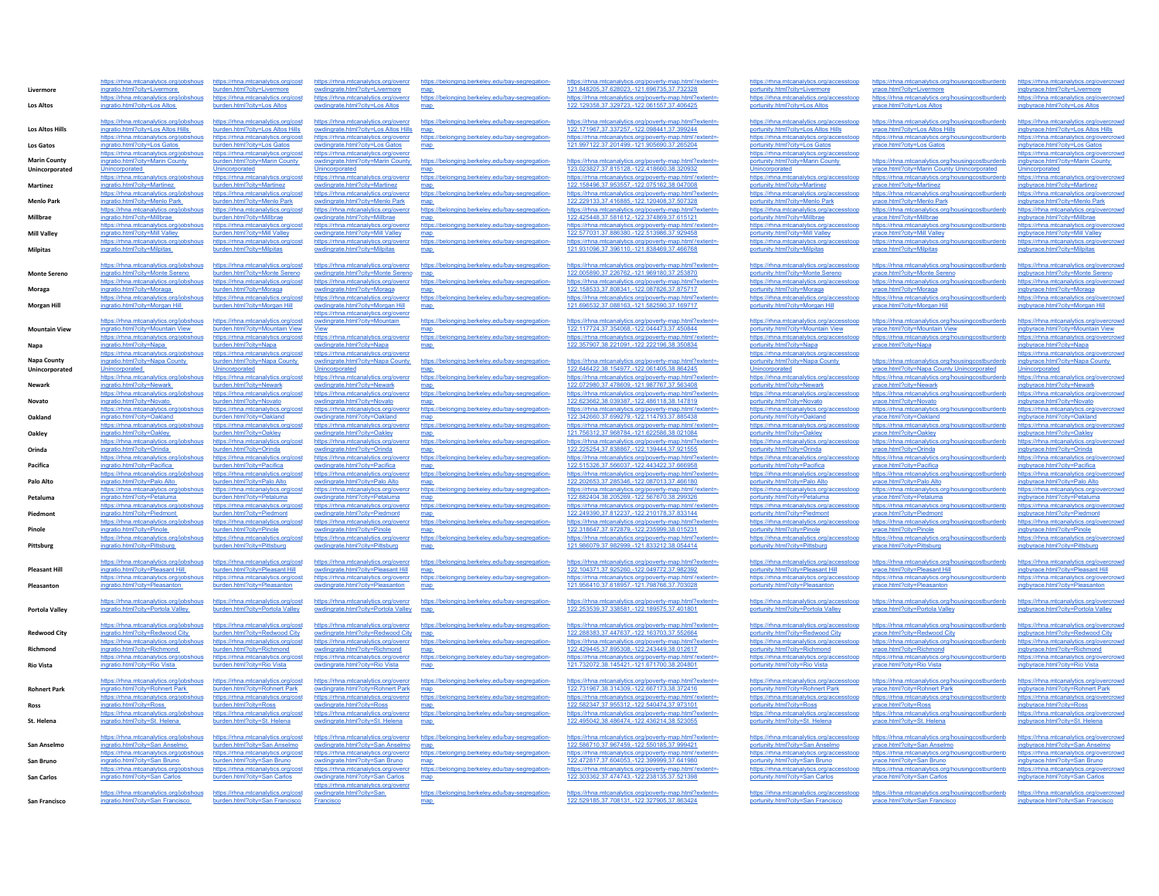| Livermore              | https://rhna.mtcanalytics.org/jobshous https://rhna.mtcanalytics.org/cost<br>ingratio.html?city=Livermore     | burden.html?city=Livermore                                             | https://rhna.mtcanalytics.org/overcr<br>owdingrate.html?city=Livermore       | https://belonging.berkeley.edu/bay-segregation-<br>map  | https://rhna.mtcanalytics.org/poverty-map.html?extent=-<br>121.848205.37.628023.-121.696735.37.732328 | https://rhna.mtcanalytics.org/accesstoop<br>portunity.html?city=Livermore       | https://rhna.mtcanalytics.org/housingcostburdenb<br>yrace.html?city=Livermore                   | https://rhna.mtcanalytics.org/overcrowd<br>ingbyrace.html?city=Livermore       |
|------------------------|---------------------------------------------------------------------------------------------------------------|------------------------------------------------------------------------|------------------------------------------------------------------------------|---------------------------------------------------------|-------------------------------------------------------------------------------------------------------|---------------------------------------------------------------------------------|-------------------------------------------------------------------------------------------------|--------------------------------------------------------------------------------|
|                        | https://rhna.mtcanalytics.org/jobshous                                                                        | https://rhna.mtcanalytics.org/cost                                     | https://rhna.mtcanalytics.org/overcr                                         | https://belonging.berkeley.edu/bay-segregation-         | https://rhna.mtcanalytics.org/poverty-map.html?extent=-                                               | https://rhna.mtcanalytics.org/accesstoop                                        | https://rhna.mtcanalytics.org/housingcostburdenb                                                | https://rhna.mtcanalytics.org/overcrowd                                        |
| Los Altos              | ingratio.html?citv=Los Altos                                                                                  | burden.html?citv=Los Altos                                             | owdingrate.html?city=Los Altos                                               | map                                                     | 122.129358.37.329723.-122.061557.37.406425                                                            | portunity.html?city=Los Altos                                                   | yrace.html?city=Los Altos                                                                       | ingbyrace.html?city=Los Altos                                                  |
|                        | https://rhna.mtcanalytics.org/jobshous                                                                        | https://rhna.mtcanalytics.org/cost                                     | https://rhna.mtcanalytics.org/overcr                                         | https://belonging.berkeley.edu/bay-segregation-         | https://rhna.mtcanalytics.org/poverty-map.html?extent=-                                               | https://rhna.mtcanalytics.org/accesstoop                                        | https://rhna.mtcanalytics.org/housingcostburdenb                                                | https://rhna.mtcanalytics.org/overcrowd                                        |
| <b>Los Altos Hills</b> | ingratio.html?city=Los Altos Hills<br>https://rhna.mtcanalytics.org/iobshous                                  | burden.html?city=Los Altos Hills<br>https://rhna.mtcanalytics.org/cost | owdingrate.html?city=Los Altos Hills<br>https://rhna.mtcanalytics.org/overcr | map<br>https://belonging.berkelev.edu/bay-segregation-  | 122.171967,37.337257,-122.098441,37.399244<br>https://rhna.mtcanalytics.org/poverty-map.html?extent=- | portunity.html?city=Los Altos Hills<br>https://rhna.mtcanalytics.org/accesstoop | yrace.html?city=Los Altos Hills<br>https://rhna.mtcanalytics.org/housingcostburdenb             | ingbyrace.html?city=Los Altos Hills<br>https://rhna.mtcanalytics.org/overcrowd |
| Los Gatos              | ingratio.html?city=Los Gatos                                                                                  | burden.html?citv=Los Gatos                                             | owdingrate.html?city=Los Gatos                                               | map                                                     | 121.997122.37.201499.-121.905690.37.265204                                                            | portunity.html?city=Los Gatos                                                   | yrace.html?city=Los Gatos                                                                       | ingbyrace.html?city=Los Gatos                                                  |
| <b>Marin County</b>    | https://rhna.mtcanalytics.org/jobshous<br>ingratio.html?city=Marin County                                     | https://rhna.mtcanalytics.org/cost<br>burden.html?city=Marin County    | https://rhna.mtcanalytics.org/overcr<br>owdingrate.html?city=Marin County    | https://belonging.berkeley.edu/bay-segregation-         | https://rhna.mtcanalytics.org/poverty-map.html?extent=-                                               | https://rhna.mtcanalytics.org/accesstoop<br>portunity.html?city=Marin County    | https://rhna.mtcanalytics.org/housingcostburdenb                                                | https://rhna.mtcanalytics.org/overcrowd<br>ingbyrace.html?city=Marin County    |
| Unincorporated         | Unincorporated<br>https://rhna.mtcanalytics.org/jobshous                                                      | <b>Unincorporated</b><br>https://rhna.mtcanalytics.org/cost            | Unincorporated<br>https://rhna.mtcanalytics.org/overcr                       | map<br>https://belonging.berkeley.edu/bay-segregation-  | 123.023827.37.815128.-122.418660.38.320932<br>https://rhna.mtcanalytics.org/poverty-map.html?extent=- | Unincorporated<br>https://rhna.mtcanalytics.org/accesstoop                      | yrace.html?city=Marin County Unincorporated<br>https://rhna.mtcanalytics.org/housingcostburdenb | Unincorporated<br>https://rhna.mtcanalytics.org/overcrowd                      |
| Martinez               | ingratio.html?city=Martinez                                                                                   | burden.html?city=Martinez                                              | owdingrate.html?city=Martinez                                                | man                                                     | 122 158496 37 953557 -122 075162 38 047008                                                            | portunity.html?city=Martinez                                                    | yrace.html?city=Martinez                                                                        | ingbyrace.html?city=Martinez                                                   |
| <b>Menlo Park</b>      | https://rhna.mtcanalytics.org/jobshous<br>ingratio.html?city=Menlo Park                                       | https://rhna.mtcanalytics.org/cost<br>burden.html?city=Menlo Park      | https://rhna.mtcanalytics.org/overcr<br>owdingrate.html?city=Menlo Park      | https://belonging.berkeley.edu/bay-segregation-<br>map  | https://rhna.mtcanalytics.org/poverty-map.html?extent=-<br>122.229133,37.416885,-122.120408,37.507328 | https://rhna.mtcanalytics.org/accesstoop<br>portunity.html?city=Menlo Park      | https://rhna.mtcanalytics.org/housingcostburdenb<br>yrace.html?city=Menlo Park                  | https://rhna.mtcanalytics.org/overcrowd<br>ingbyrace.html?city=Menlo Park      |
|                        | https://rhna.mtcanalytics.org/jobshous                                                                        | https://rhna.mtcanalytics.org/cost                                     | https://rhna.mtcanalytics.org/overcr                                         | https://belonging.berkeley.edu/bay-segregation-         | https://rhna.mtcanalytics.org/poverty-map.html?extent=-                                               | https://rhna.mtcanalytics.org/accesstoop                                        | https://rhna.mtcanalytics.org/housingcostburdenb                                                | https://rhna.mtcanalytics.org/overcrowd                                        |
| Millbrae               | ingratio.html?city=Millbrae<br>https://rhna.mtcanalytics.org/jobshous                                         | burden.html?city=Millbrae<br>https://rhna.mtcanalytics.org/cost        | owdingrate.html?city=Millbrae<br>https://rhna.mtcanalvtics.org/overcr        | https://belonging.berkeley.edu/bay-segregation-         | 122.425448,37.581612,-122.374869,37.615121<br>https://rhna.mtcanalytics.org/poverty-map.html?extent=- | portunity.html?city=Millbrae<br>https://rhna.mtcanalytics.org/accesstoop        | yrace.html?city=Millbrae<br>https://rhna.mtcanalytics.org/housingcostburdenb                    | ingbyrace.html?city=Millbrae<br>https://rhna.mtcanalytics.org/overcrowd        |
| Mill Valley            | ingratio.html?city=Mill Valley                                                                                | burden.html?city=Mill Valley                                           | owdingrate.html?city=Mill Valley                                             | map                                                     | 122.577031.37.886380.-122.513986.37.929458                                                            | portunity.html?city=Mill Valley                                                 | yrace.html?city=Mill Valley                                                                     | ingbyrace.html?city=Mill Valley                                                |
| Milpitas               | https://rhna.mtcanalytics.org/jobshous<br>ingratio.html?city=Milpitas                                         | https://rhna.mtcanalytics.org/cost<br>burden.html?city=Milpitas        | https://rhna.mtcanalytics.org/overcr<br>owdingrate.html?city=Milpitas        | https://belonging.berkeley.edu/bay-segregation-<br>map  | https://rhna.mtcanalytics.org/poverty-map.html?extent=-<br>121.931096,37.396110,-121.838469,37.466768 | https://rhna.mtcanalytics.org/accesstoop<br>portunity.html?city=Milpitas        | https://rhna.mtcanalytics.org/housingcostburdenb<br>yrace.html?city=Milpitas                    | https://rhna.mtcanalytics.org/overcrowd<br>ingbyrace.html?city=Milpitas        |
|                        |                                                                                                               | https://rhna.mtcanalytics.org/cost                                     | https://rhna.mtcanalytics.org/overcr                                         |                                                         | https://rhna.mtcanalytics.org/poverty-map.html?extent=-                                               | https://rhna.mtcanalytics.org/accesstoop                                        |                                                                                                 | https://rhna.mtcanalytics.org/overcrowd                                        |
| <b>Monte Sereno</b>    | https://rhna.mtcanalytics.org/jobshous<br>ingratio.html?city=Monte Sereno                                     | burden.html?city=Monte Sereno                                          | owdingrate.html?city=Monte Sereno                                            | https://belonging.berkeley.edu/bay-segregation-<br>man  | 122 005890 37 226762 -121 969180 37 253870                                                            | portunity.html?city=Monte Sereno                                                | https://rhna.mtcanalytics.org/housingcostburdenb<br>vrace html?city=Monte Sereno                | ingbyrace.html?city=Monte Sereno                                               |
| Moraga                 | https://rhna.mtcanalytics.org/jobshous<br>ingratio.html?city=Moraga                                           | https://rhna.mtcanalytics.org/cost<br>burden.html?city=Moraga          | https://rhna.mtcanalytics.org/overcr<br>owdingrate.html?city=Moraga          | https://belonging.berkeley.edu/bay-segregation-         | https://rhna.mtcanalytics.org/poverty-map.html?extent=<br>122.158533,37.808341,-122.087826,37.875717  | https://rhna.mtcanalytics.org/accesstoop<br>portunity.html?city=Moraga          | https://rhna.mtcanalytics.org/housingcostburdenb<br>yrace.html?city=Moraga                      | https://rhna.mtcanalytics.org/overcrowd<br>ingbyrace.html?city=Moraga          |
|                        | https://rhna.mtcanalytics.org/iobshous                                                                        | https://rhna.mtcanalytics.org/cost                                     | https://rhna.mtcanalytics.org/overcr                                         | https://belonging.berkeley.edu/bay-segregation-         | https://rhna.mtcanalytics.org/poverty-map.html?extent=-                                               | https://rhna.mtcanalytics.org/accesstoop                                        | https://rhna.mtcanalytics.org/housingcostburdenb                                                | https://rhna.mtcanalytics.org/overcrowd                                        |
| Morgan Hill            | ingratio.html?city=Morgan Hill                                                                                | burden.html?city=Morgan Hill                                           | owdingrate.html?city=Morgan Hill<br>https://rhna.mtcanalytics.org/overcr     | map                                                     | 121.696532.37.088163.-121.582590.37.169717                                                            | portunity.html?city=Morgan Hill                                                 | yrace.html?city=Morgan Hill                                                                     | ingbyrace.html?city=Morgan Hill                                                |
|                        | https://rhna.mtcanalytics.org/jobshous                                                                        | https://rhna.mtcanalytics.org/cost                                     | owdingrate.html?city=Mountain                                                | https://belonging.berkeley.edu/bay-segregation-         | https://rhna.mtcanalytics.org/poverty-map.html?extent=-                                               | https://rhna.mtcanalytics.org/accesstoop                                        | https://rhna.mtcanalytics.org/housingcostburdenb                                                | https://rhna.mtcanalytics.org/overcrowd                                        |
| <b>Mountain View</b>   | ingratio.html?citv=Mountain View<br>https://rhna.mtcanalytics.org/jobshous                                    | burden.html?citv=Mountain View<br>https://rhna.mtcanalytics.org/cost   | <b>View</b><br>https://rhna.mtcanalytics.org/overcr                          | man<br>https://belonging.berkeley.edu/bay-segregation-  | 122.117724.37.354068.-122.044473.37.450844<br>https://rhna.mtcanalytics.org/poverty-map.html?extent=- | portunity.html?citv=Mountain View<br>https://rhna.mtcanalytics.org/accesstoop   | vrace.html?citv=Mountain View<br>https://rhna.mtcanalytics.org/housingcostburdenb               | ingbyrace.html?city=Mountain View<br>https://rhna.mtcanalytics.org/overcrowd   |
| Napa                   | ingratio.html?citv=Napa                                                                                       | burden.html?citv=Napa                                                  | owdingrate.html?city=Napa                                                    |                                                         | 122.357907,38.221091,-122.222196,38.350834                                                            | portunity.html?city=Napa                                                        | yrace.html?city=Napa                                                                            | ingbyrace.html?city=Napa                                                       |
| Napa County            | https://rhna.mtcanalytics.org/jobshous<br>ingratio.html?city=Napa County                                      | https://rhna.mtcanalytics.org/cost<br>burden.html?citv=Napa County     | https://rhna.mtcanalytics.org/overcr<br>owdingrate.html?city=Napa County     | https://belonging.berkeley.edu/bay-segregation-         | https://rhna.mtcanalytics.org/poverty-map.html?extent=-                                               | https://rhna.mtcanalytics.org/accesstoop<br>portunity.html?city=Napa County     | https://rhna.mtcanalytics.org/housingcostburdenb                                                | https://rhna.mtcanalytics.org/overcrowd<br>ingbyrace.html?city=Napa County     |
| Unincorporated         | Unincorporated<br>https://rhna.mtcanalytics.org/jobshous                                                      | Unincorporated<br>https://rhna.mtcanalytics.org/cost                   | Unincorporated<br>https://rhna.mtcanalytics.org/overcr                       | map<br>https://belonging.berkeley.edu/bay-segregation-  | 122.646422.38.154977.-122.061405.38.864245<br>https://rhna.mtcanalytics.org/poverty-map.html?extent=- | Unincorporated<br>https://rhna.mtcanalytics.org/accesstoop                      | vrace.html?citv=Napa County Unincorporated<br>https://rhna.mtcanalytics.org/housingcostburdenb  | Unincorporated<br>https://rhna.mtcanalytics.org/overcrowd                      |
| Newark                 | ingratio.html?city=Newark                                                                                     | burden.html?city=Newark                                                | owdingrate.html?city=Newark                                                  | map                                                     | 122.072980,37.478609,-121.987767,37.563408                                                            | portunity.html?city=Newark                                                      | yrace.html?city=Newark                                                                          | ingbyrace.html?city=Newark                                                     |
| Novato                 | https://rhna.mtcanalytics.org/jobshous<br>ingratio.html?city=Novato                                           | https://rhna.mtcanalytics.org/cost<br>burden.html?city=Novato          | https://rhna.mtcanalytics.org/overcr<br>owdingrate.html?city=Novato          | https://belonging.berkeley.edu/bay-segregation-<br>man  | https://rhna.mtcanalytics.org/poverty-map.html?extent=-<br>122.623662.38.039387.-122.486118.38.147819 | https://rhna.mtcanalytics.org/accesstoop<br>portunity.html?city=Novato          | https://rhna.mtcanalytics.org/housingcostburdenb<br>yrace.html?city=Novato                      | https://rhna.mtcanalytics.org/overcrowd<br>ingbyrace.html?city=Novato          |
|                        | https://rhna.mtcanalytics.org/jobshous                                                                        | https://rhna.mtcanalytics.org/cost                                     | https://rhna.mtcanalytics.org/overcr                                         | https://belonging.berkeley.edu/bay-segregation-         | https://rhna.mtcanalytics.org/poverty-map.html?extent=-                                               | https://rhna.mtcanalytics.org/accesstoop                                        | https://rhna.mtcanalytics.org/housingcostburdenb                                                | https://rhna.mtcanalytics.org/overcrowd                                        |
| Oakland                | ingratio.html?city=Oakland<br>https://rhna.mtcanalytics.org/jobshous                                          | burden.html?city=Oakland<br>https://rhna.mtcanalytics.org/cost         | owdingrate.html?citv=Oakland<br>https://rhna.mtcanalytics.org/overcr         | map.<br>https://belonging.berkeley.edu/bay-segregation- | 122.342660.37.699279.-122.114793.37.885438<br>https://rhna.mtcanalytics.org/poverty-map.html?extent=- | portunity.html?city=Oakland<br>https://rhna.mtcanalytics.org/accesstoop         | vrace.html?citv=Oakland<br>https://rhna.mtcanalytics.org/housingcostburdenb                     | ingbyrace.html?city=Oakland<br>https://rhna.mtcanalytics.org/overcrowd         |
| Oakley                 | ingratio.html?city=Oakley                                                                                     | burden.html?city=Oakley                                                | owdingrate.html?city=Oakley                                                  |                                                         | 121.756312,37.968784,-121.622586,38.021084                                                            | portunity.html?city=Oakley                                                      | yrace.html?city=Oakley                                                                          | ingbyrace.html?city=Oakley                                                     |
| Orinda                 | https://rhna.mtcanalytics.org/jobshous<br>ingratio.html?city=Orinda                                           | https://rhna.mtcanalytics.org/cost<br>burden.html?city=Orinda          | https://rhna.mtcanalytics.org/overcr<br>owdingrate.html?city=Orinda          | https://belonging.berkeley.edu/bay-segregation-         | https://rhna.mtcanalytics.org/poverty-map.html?extent=-<br>122.225254,37.838867,-122.139444,37.921555 | https://rhna.mtcanalytics.org/accesstoop<br>portunity.html?city=Orinda          | https://rhna.mtcanalytics.org/housingcostburdenb<br>yrace.html?city=Orinda                      | https://rhna.mtcanalytics.org/overcrowd<br>ingbyrace.html?city=Orinda          |
| Pacifica               | https://rhna.mtcanalytics.org/jobshous<br>ingratio.html?city=Pacifica                                         | https://rhna.mtcanalytics.org/cost<br>burden.html?city=Pacifica        | https://rhna.mtcanalytics.org/overcr<br>owdingrate.html?city=Pacifica        | https://belonging.berkeley.edu/bay-segregation-         | https://rhna.mtcanalytics.org/poverty-map.html?extent=-<br>122.515326,37.566037,-122.443422,37.666958 | https://rhna.mtcanalytics.org/accesstoop<br>portunity.html?city=Pacifica        | https://rhna.mtcanalytics.org/housingcostburdenb<br>yrace.html?city=Pacifica                    | https://rhna.mtcanalytics.org/overcrowd<br>ingbyrace.html?city=Pacifica        |
|                        | https://rhna.mtcanalytics.org/jobshous                                                                        | https://rhna.mtcanalytics.org/cost                                     | https://rhna.mtcanalytics.org/overcr                                         | https://belonging.berkeley.edu/bay-segregation-         | https://rhna.mtcanalytics.org/poverty-map.html?extent=-                                               | https://rhna.mtcanalytics.org/accesstoop                                        | https://rhna.mtcanalytics.org/housingcostburdenb                                                | https://rhna.mtcanalytics.org/overcrowd                                        |
| Palo Alto              | ingratio.html?city=Palo Alto<br>https://rhna.mtcanalytics.org/jobshous                                        | burden.html?city=Palo Alto<br>https://rhna.mtcanalytics.org/cost       | owdingrate.html?city=Palo Alto<br>https://rhna.mtcanalytics.org/overcr       | map<br>https://belonging.berkeley.edu/bay-segregation-  | 122.202653,37.285346,-122.087013,37.466180<br>https://rhna.mtcanalytics.org/poverty-map.html?extent=- | portunity.html?city=Palo Alto<br>https://rhna.mtcanalytics.org/accesstoop       | yrace.html?city=Palo Alto<br>https://rhna.mtcanalytics.org/housingcostburdenb                   | ingbyrace.html?city=Palo Alto<br>https://rhna.mtcanalytics.org/overcrowd       |
| Petaluma               | ingratio.html?city=Petaluma                                                                                   | burden.html?city=Petaluma                                              | owdingrate.html?city=Petaluma                                                |                                                         | 122.682404,38.205269,-122.567670,38.299326                                                            | portunity.html?city=Petaluma                                                    | yrace.html?city=Petaluma                                                                        | ingbyrace.html?city=Petaluma                                                   |
| Piedmont               | https://rhna.mtcanalytics.org/jobshous<br>ingratio.html?city=Piedmont                                         | https://rhna.mtcanalytics.org/cost<br>burden.html?citv=Piedmont        | https://rhna.mtcanalytics.org/overcr<br>owdingrate.html?city=Piedmont        | https://belonging.berkelev.edu/bay-segregation-<br>map  | https://rhna.mtcanalytics.org/poverty-map.html?extent=-<br>122.249390.37.812237.-122.210178.37.833144 | https://rhna.mtcanalytics.org/accesstoop<br>portunity.html?city=Piedmont        | https://rhna.mtcanalytics.org/housingcostburdenb<br>vrace.html?citv=Piedmont                    | https://rhna.mtcanalytics.org/overcrowd<br>ingbyrace.html?city=Piedmont        |
|                        | https://rhna.mtcanalytics.org/jobshous                                                                        | https://rhna.mtcanalytics.org/cost                                     | https://rhna.mtcanalytics.org/overcr                                         | https://belonging.berkeley.edu/bay-segregation-         | https://rhna.mtcanalytics.org/poverty-map.html?extent=                                                | https://rhna.mtcanalytics.org/accesstoop                                        | https://rhna.mtcanalytics.org/housingcostburdenb                                                | https://rhna.mtcanalytics.org/overcrowd                                        |
| Pinole                 | ingratio.html?city=Pinole<br>https://rhna.mtcanalytics.org/jobshous                                           | burden.html?city=Pinole<br>https://rhna.mtcanalytics.org/cost          | owdingrate.html?city=Pinole<br>https://rhna.mtcanalytics.org/overcr          | https://belonging.berkeley.edu/bay-segregation-         | 122.318647,37.972879,-122.235999,38.015231<br>https://rhna.mtcanalytics.org/poverty-map.html?extent=- | portunity.html?city=Pinole<br>https://rhna.mtcanalytics.org/accesstoop          | yrace.html?city=Pinole<br>https://rhna.mtcanalytics.org/housingcostburdenb                      | ingbyrace.html?city=Pinole<br>https://rhna.mtcanalytics.org/overcrowd          |
| Pittsburg              | ingratio.html?city=Pittsburg                                                                                  | burden.html?citv=Pittsburg                                             | owdingrate.html?city=Pittsburg                                               | map                                                     | 121 986079 37 982999 -121 833212 38 054414                                                            | portunity.html?city=Pittsburg                                                   | yrace.html?city=Pittsburg                                                                       | ingbyrace.html?city=Pittsburg                                                  |
|                        | https://rhna.mtcanalytics.org/jobshous                                                                        | https://rhna.mtcanalytics.org/cost                                     | https://rhna.mtcanalytics.org/overcr                                         | https://belonging.berkeley.edu/bay-segregation-         | https://rhna.mtcanalytics.org/poverty-map.html?extent=-                                               | https://rhna.mtcanalytics.org/accesstoop                                        | https://rhna.mtcanalytics.org/housingcostburdenb                                                | https://rhna.mtcanalytics.org/overcrowd                                        |
| <b>Pleasant Hill</b>   | ingratio.html?city=Pleasant Hill<br>https://rhna.mtcanalytics.org/jobshous                                    | burden.html?city=Pleasant Hill<br>https://rhna.mtcanalytics.org/cost   | owdingrate.html?city=Pleasant Hill<br>https://rhna.mtcanalytics.org/overcr   | map<br>https://belonging.berkeley.edu/bay-segregation-  | 122.104371,37.925260,-122.049772,37.982392<br>https://rhna.mtcanalytics.org/poverty-map.html?extent=- | portunity.html?city=Pleasant Hill<br>https://rhna.mtcanalytics.org/accesstoop   | yrace.html?city=Pleasant Hill<br>https://rhna.mtcanalytics.org/housingcostburdenb               | ingbyrace.html?city=Pleasant Hill<br>https://rhna.mtcanalytics.org/overcrowd   |
| Pleasanton             | ingratio.html?city=Pleasanton                                                                                 | burden.html?city=Pleasanton                                            | owdingrate.html?city=Pleasanton                                              |                                                         | 121.956410.37.618957.-121.798766.37.703028                                                            | portunity.html?city=Pleasanton                                                  | yrace.html?city=Pleasanton                                                                      | ingbyrace.html?city=Pleasanton                                                 |
|                        | https://rhna.mtcanalytics.org/jobshous                                                                        | https://rhna.mtcanalytics.org/cost                                     | https://rhna.mtcanalytics.org/overcr                                         | https://belonging.berkeley.edu/bay-segregation-         | https://rhna.mtcanalytics.org/poverty-map.html?extent=-                                               | https://rhna.mtcanalytics.org/accesstoop                                        | https://rhna.mtcanalytics.org/housingcostburdenb                                                | https://rhna.mtcanalytics.org/overcrowd                                        |
| Portola Valley         | ingratio.html?city=Portola Valley                                                                             | burden.html?city=Portola Valley                                        | owdingrate.html?city=Portola Valley                                          | map                                                     | 122 253539 37 338581 - 122 189575 37 401801                                                           | portunity.html?city=Portola Valley                                              | yrace.html?city=Portola Valley                                                                  | ingbyrace.html?citv=Portola Valley                                             |
|                        | https://rhna.mtcanalytics.org/jobshous                                                                        | https://rhna.mtcanalytics.org/cost                                     | https://rhna.mtcanalytics.org/overcr                                         | https://belonging.berkeley.edu/bay-segregation-         | https://rhna.mtcanalytics.org/poverty-map.html?extent=-                                               | https://rhna.mtcanalytics.org/accesstoop                                        | https://rhna.mtcanalytics.org/housingcostburdenb                                                | https://rhna.mtcanalytics.org/overcrowd                                        |
| <b>Redwood City</b>    | ingratio.html?city=Redwood City<br>https://rhna.mtcanalytics.org/jobshous                                     | burden.html?city=Redwood City<br>https://rhna.mtcanalytics.org/cost    | owdingrate.html?city=Redwood City<br>https://rhna.mtcanalytics.org/overcr    | map<br>https://belonging.berkeley.edu/bay-segregation-  | 122.288383.37.447637.-122.163703.37.552664<br>https://rhna.mtcanalytics.org/poverty-map.html?extent=- | portunity.html?city=Redwood City<br>https://rhna.mtcanalytics.org/accesstoop    | yrace.html?city=Redwood City<br>https://rhna.mtcanalytics.org/housingcostburdenb                | ingbyrace.html?city=Redwood City<br>https://rhna.mtcanalytics.org/overcrowd    |
| Richmond               | ingratio.html?city=Richmond                                                                                   | burden.html?citv=Richmond                                              | owdingrate.html?city=Richmond                                                | map                                                     | 122.429445,37.895308,-122.243449,38.012617                                                            | portunity.html?city=Richmond                                                    | yrace.html?city=Richmond                                                                        | ingbyrace.html?city=Richmond                                                   |
| Rio Vista              | https://rhna.mtcanalytics.org/jobshous<br>ingratio.html?city=Rio Vista                                        | https://rhna.mtcanalytics.org/cost<br>burden.html?citv=Rio Vista       | https://rhna.mtcanalytics.org/overcr<br>owdingrate.html?city=Rio Vista       | https://belonging.berkeley.edu/bay-segregation-<br>map  | https://rhna.mtcanalytics.org/poverty-map.html?extent=-<br>121.732072.38.145421.-121.671700.38.204801 | https://rhna.mtcanalytics.org/accesstoop<br>portunity.html?city=Rio Vista       | https://rhna.mtcanalytics.org/housingcostburdenb<br>yrace.html?city=Rio Vista                   | https://rhna.mtcanalytics.org/overcrowd<br>ingbyrace.html?city=Rio Vista       |
|                        |                                                                                                               |                                                                        |                                                                              |                                                         |                                                                                                       |                                                                                 |                                                                                                 |                                                                                |
| <b>Rohnert Park</b>    | https://rhna.mtcanalytics.org/jobshous<br>ingratio.html?city=Rohnert Park                                     | https://rhna.mtcanalytics.org/cost<br>burden.html?city=Rohnert Park    | https://rhna.mtcanalytics.org/overcr<br>owdingrate.html?city=Rohnert Park    | https://belonging.berkeley.edu/bay-segregation-<br>map  | https://rhna.mtcanalytics.org/poverty-map.html?extent=-<br>122.731967,38.314309,-122.667173,38.372416 | https://rhna.mtcanalytics.org/accesstoop<br>portunity.html?city=Rohnert Park    | https://rhna.mtcanalytics.org/housingcostburdenb<br>yrace.html?city=Rohnert Park                | https://rhna.mtcanalytics.org/overcrowd<br>ingbyrace.html?city=Rohnert Park    |
|                        | https://rhna.mtcanalytics.org/iobshous                                                                        | https://rhna.mtcanalytics.org/cost                                     | https://rhna.mtcanalytics.org/overcr                                         | https://belonging.berkelev.edu/bay-segregation-         | https://rhna.mtcanalytics.org/poverty-map.html?extent=-<br>122.582347.37.955312.-122.540474.37.973101 | https://rhna.mtcanalytics.org/accesstoop                                        | https://rhna.mtcanalytics.org/housingcostburdenb<br>vrace.html?citv=Ross                        | https://rhna.mtcanalytics.org/overcrowd                                        |
| Ross                   | ingratio.html?city=Ross<br>https://rhna.mtcanalytics.org/jobshous                                             | burden.html?city=Ross<br>https://rhna.mtcanalytics.org/cost            | owdingrate.html?city=Ross<br>https://rhna.mtcanalytics.org/overcr            | map<br>https://belonging.berkeley.edu/bay-segregation-  | https://rhna.mtcanalytics.org/poverty-map.html?extent=-                                               | portunity.html?city=Ross<br>https://rhna.mtcanalytics.org/accesstoop            | https://rhna.mtcanalytics.org/housingcostburdenb                                                | ingbyrace.html?city=Ross<br>https://rhna.mtcanalytics.org/overcrowd            |
| St. Helena             | ingratio.html?city=St. Helena                                                                                 | burden.html?city=St. Helena                                            | owdingrate.html?city=St. Helena                                              | map                                                     | 122.495042,38.486474,-122.436214,38.523055                                                            | portunity.html?city=St. Helena                                                  | yrace.html?city=St. Helena                                                                      | ingbyrace.html?city=St. Helena                                                 |
|                        | https://rhna.mtcanalytics.org/jobshous                                                                        | https://rhna.mtcanalytics.org/cost                                     | https://rhna.mtcanalytics.org/overcr                                         | https://belonging.berkeley.edu/bay-segregation-         | https://rhna.mtcanalytics.org/poverty-map.html?extent=-                                               | https://rhna.mtcanalytics.org/accesstoop                                        | https://rhna.mtcanalytics.org/housingcostburdenb                                                | https://rhna.mtcanalytics.org/overcrowd                                        |
| San Anselmo            | ingratio.html?city=San Anselmo<br>https://rhna.mtcanalytics.org/jobshous                                      | burden.html?city=San Anselmo<br>https://rhna.mtcanalytics.org/cost     | owdingrate.html?city=San Anselmo<br>https://rhna.mtcanalytics.org/overcr     | https://belonging.berkeley.edu/bay-segregation-         | 122.586710,37.967459,-122.550185,37.999421<br>https://rhna.mtcanalytics.org/poverty-map.html?extent=- | portunity.html?city=San Anselmo<br>https://rhna.mtcanalytics.org/accesstoop     | yrace.html?city=San Anselmo<br>https://rhna.mtcanalytics.org/housingcostburdenb                 | ingbyrace.html?city=San Anselmo<br>https://rhna.mtcanalytics.org/overcrowd     |
| San Bruno              | ingratio.html?city=San Bruno                                                                                  | burden.html?city=San Bruno                                             | owdingrate.html?city=San Bruno                                               | map                                                     | 122.472817,37.604053,-122.399999,37.641980                                                            | portunity.html?city=San Bruno                                                   | yrace.html?city=San Bruno                                                                       | ingbyrace.html?city=San Bruno                                                  |
| San Carlos             | https://rhna.mtcanalytics.org/jobshous<br>ingratio.html?city=San Carlos                                       | https://rhna.mtcanalytics.org/cost<br>burden.html?city=San Carlos      | https://rhna.mtcanalytics.org/overcr<br>owdingrate.html?city=San Carlos      | https://belonging.berkeley.edu/bay-segregation-<br>map  | https://rhna.mtcanalytics.org/poverty-map.html?extent=-<br>122.303362,37.474743,-122.238135,37.521398 | https://rhna.mtcanalytics.org/accesstoop<br>portunity.html?city=San Carlos      | https://rhna.mtcanalytics.org/housingcostburdenb<br>yrace.html?city=San Carlos                  | https://rhna.mtcanalytics.org/overcrowd<br>ingbyrace.html?city=San Carlos      |
|                        |                                                                                                               |                                                                        | https://rhna.mtcanalytics.org/overcr                                         |                                                         |                                                                                                       |                                                                                 |                                                                                                 |                                                                                |
| San Francisco          | https://rhna.mtcanalytics.org/jobshous https://rhna.mtcanalytics.org/cost<br>ingratio.html?citv=San Francisco | burden.html?citv=San Francisco                                         | owdingrate.html?city=San<br>Francisco                                        | https://belonging.berkeley.edu/bay-segregation-<br>map  | https://rhna.mtcanalytics.org/poverty-map.html?extent=-<br>122 529185 37 708131 -122 327905 37 863424 | https://rhna.mtcanalytics.org/accesstoop<br>portunity.html?citv=San Francisco   | https://rhna.mtcanalytics.org/housingcostburdenb<br>vrace.html?citv=San Francisco               | https://rhna.mtcanalytics.org/overcrowd<br>ingbyrace.html?citv=San Francisco   |
|                        |                                                                                                               |                                                                        |                                                                              |                                                         |                                                                                                       |                                                                                 |                                                                                                 |                                                                                |